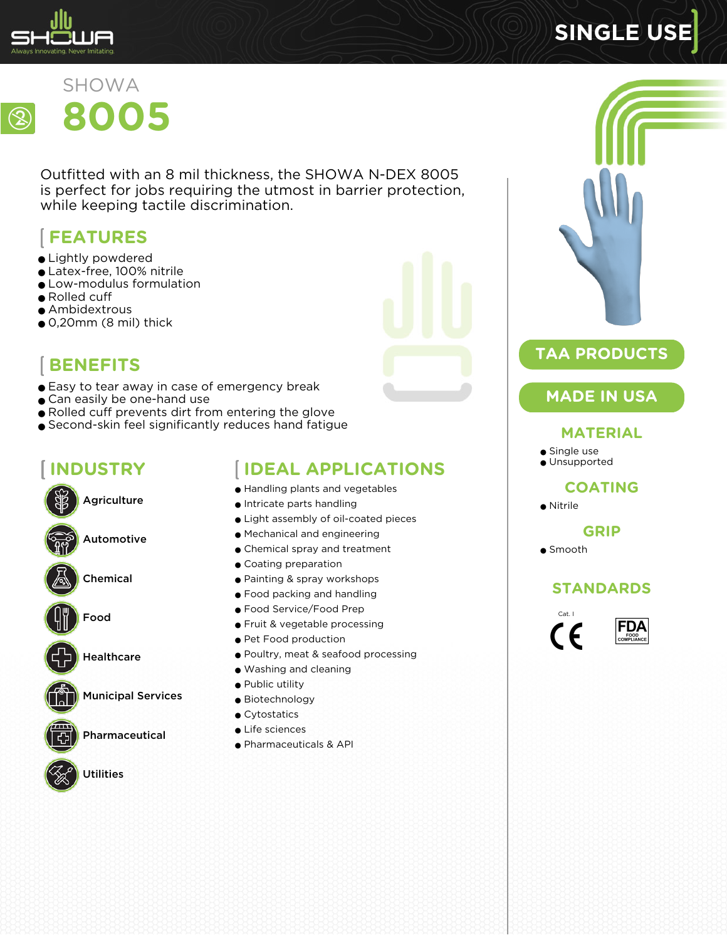

# **SINGLE USE**



Outfitted with an 8 mil thickness, the SHOWA N-DEX 8005 is perfect for jobs requiring the utmost in barrier protection, while keeping tactile discrimination.

# **FEATURES**

- Lightly powdered
- Latex-free, 100% nitrile
- Low-modulus formulation
- Rolled cuff
- Ambidextrous
- $\bullet$  0,20mm (8 mil) thick



- Easy to tear away in case of emergency break
- Can easily be one-hand use
- Rolled cuff prevents dirt from entering the glove
- Second-skin feel significantly reduces hand fatigue

# **INDUSTRY**

Agriculture Automotive Chemical



Healthcare

Municipal Services

Pharmaceutical



Utilities

## **IDEAL APPLICATIONS**

- Handling plants and vegetables
- Intricate parts handling
- Light assembly of oil-coated pieces
- Mechanical and engineering
- Chemical spray and treatment
- Coating preparation
- Painting & spray workshops
- Food packing and handling
- Food Service/Food Prep
- Fruit & vegetable processing
- Pet Food production
- Poultry, meat & seafood processing
- Washing and cleaning
- Public utility
- Biotechnology
- Cytostatics
- Life sciences
- Pharmaceuticals & API



### **TAA PRODUCTS**

### **MADE IN USA**

#### **MATERIAL**

- Single use
- Unsupported

#### **COATING**

● Nitrile

#### **GRIP**

● Smooth

#### **STANDARDS**